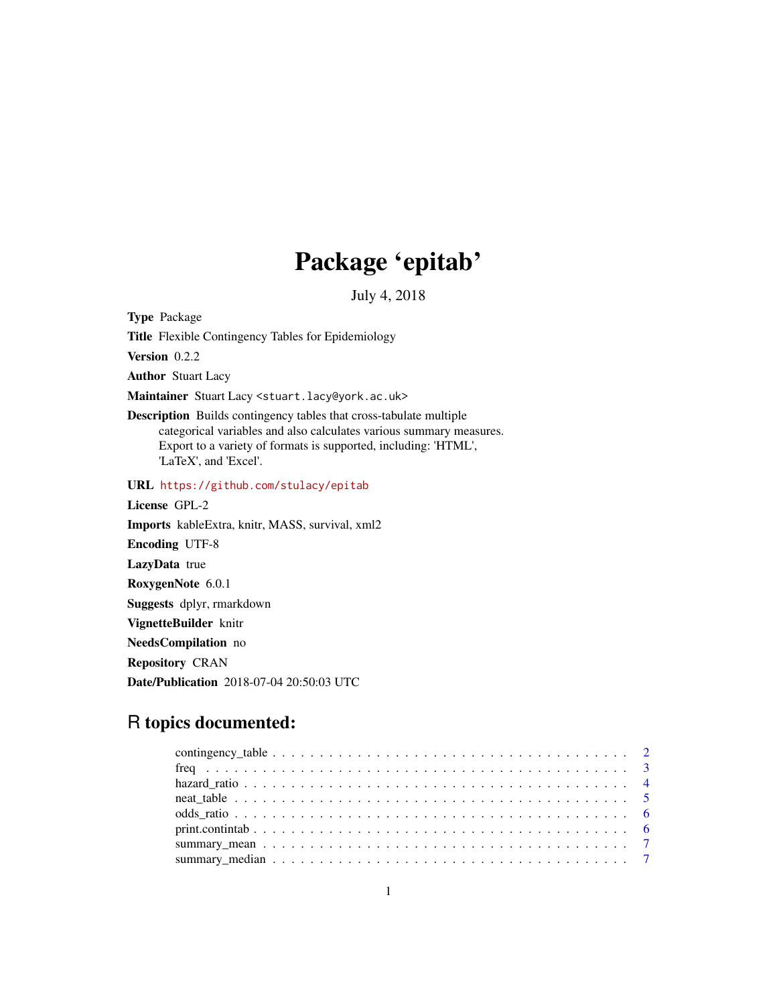## Package 'epitab'

July 4, 2018

Type Package

Title Flexible Contingency Tables for Epidemiology

Version 0.2.2

Author Stuart Lacy

Maintainer Stuart Lacy <stuart.lacy@york.ac.uk>

Description Builds contingency tables that cross-tabulate multiple categorical variables and also calculates various summary measures. Export to a variety of formats is supported, including: 'HTML', 'LaTeX', and 'Excel'.

URL <https://github.com/stulacy/epitab>

License GPL-2 Imports kableExtra, knitr, MASS, survival, xml2 Encoding UTF-8 LazyData true RoxygenNote 6.0.1 Suggests dplyr, rmarkdown VignetteBuilder knitr NeedsCompilation no Repository CRAN

Date/Publication 2018-07-04 20:50:03 UTC

## R topics documented: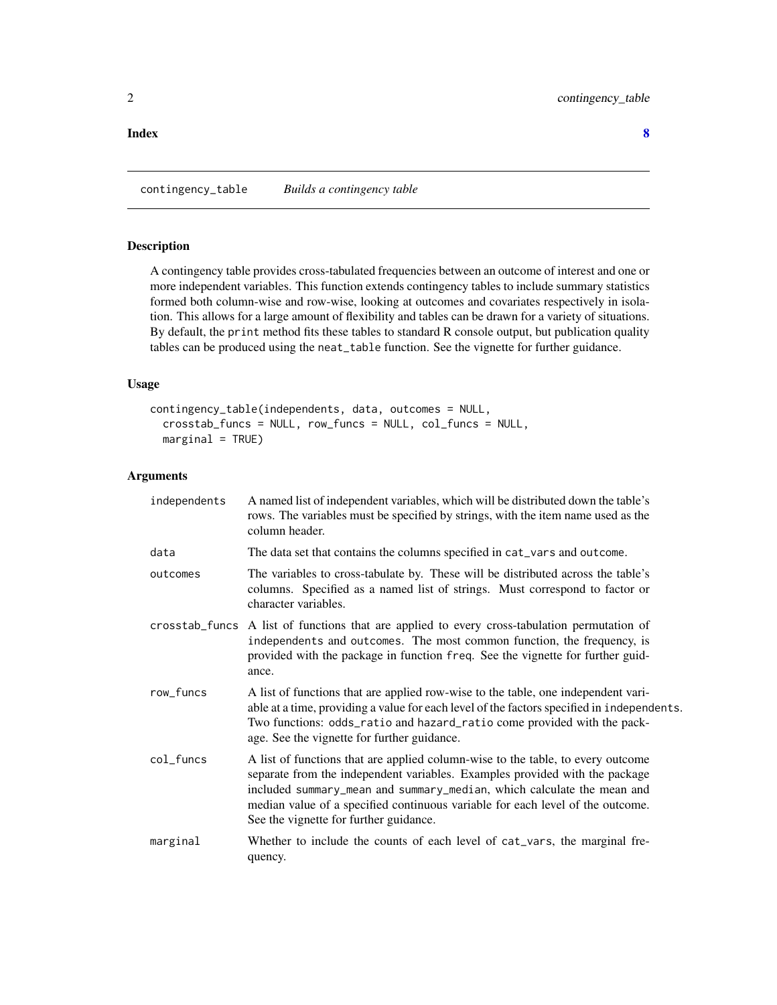#### <span id="page-1-0"></span>**Index** [8](#page-7-0) **8**

contingency\_table *Builds a contingency table*

## Description

A contingency table provides cross-tabulated frequencies between an outcome of interest and one or more independent variables. This function extends contingency tables to include summary statistics formed both column-wise and row-wise, looking at outcomes and covariates respectively in isolation. This allows for a large amount of flexibility and tables can be drawn for a variety of situations. By default, the print method fits these tables to standard R console output, but publication quality tables can be produced using the neat\_table function. See the vignette for further guidance.

## Usage

```
contingency_table(independents, data, outcomes = NULL,
  crosstab_funcs = NULL, row_funcs = NULL, col_funcs = NULL,
 marginal = TRUE)
```
## Arguments

| independents | A named list of independent variables, which will be distributed down the table's<br>rows. The variables must be specified by strings, with the item name used as the<br>column header.                                                                                                                                                                              |
|--------------|----------------------------------------------------------------------------------------------------------------------------------------------------------------------------------------------------------------------------------------------------------------------------------------------------------------------------------------------------------------------|
| data         | The data set that contains the columns specified in cat_vars and outcome.                                                                                                                                                                                                                                                                                            |
| outcomes     | The variables to cross-tabulate by. These will be distributed across the table's<br>columns. Specified as a named list of strings. Must correspond to factor or<br>character variables.                                                                                                                                                                              |
|              | crosstab_funcs A list of functions that are applied to every cross-tabulation permutation of<br>independents and outcomes. The most common function, the frequency, is<br>provided with the package in function freq. See the vignette for further guid-<br>ance.                                                                                                    |
| row_funcs    | A list of functions that are applied row-wise to the table, one independent vari-<br>able at a time, providing a value for each level of the factors specified in independents.<br>Two functions: odds_ratio and hazard_ratio come provided with the pack-<br>age. See the vignette for further guidance.                                                            |
| col_funcs    | A list of functions that are applied column-wise to the table, to every outcome<br>separate from the independent variables. Examples provided with the package<br>included summary_mean and summary_median, which calculate the mean and<br>median value of a specified continuous variable for each level of the outcome.<br>See the vignette for further guidance. |
| marginal     | Whether to include the counts of each level of cat_vars, the marginal fre-<br>quency.                                                                                                                                                                                                                                                                                |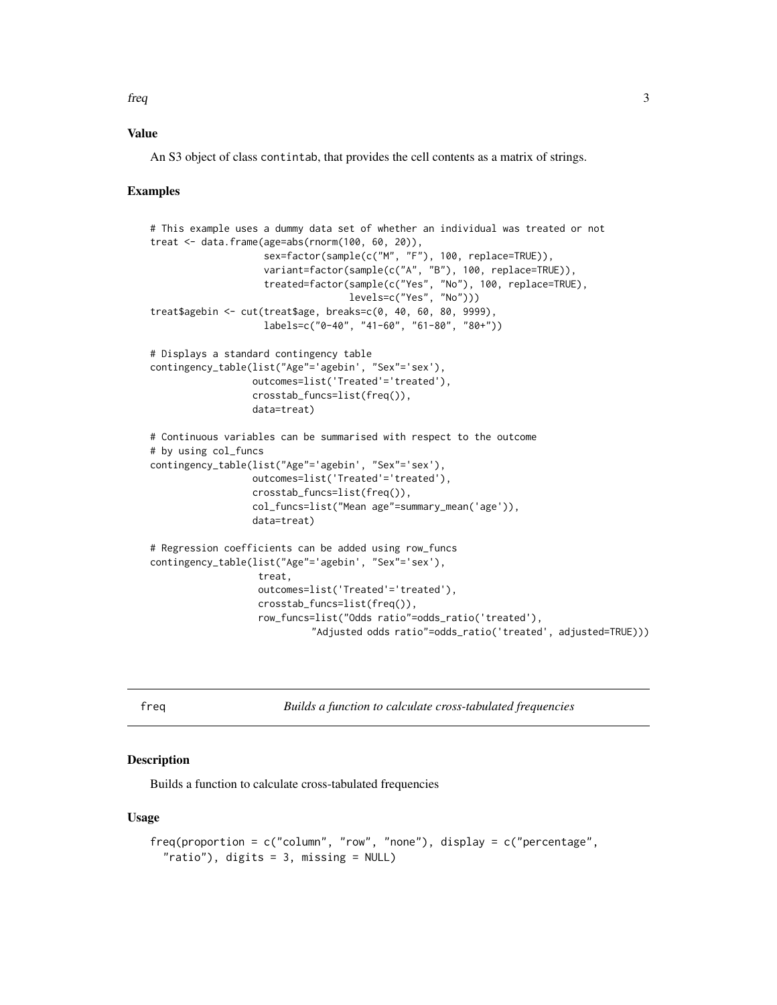## <span id="page-2-0"></span>freq 3

## Value

An S3 object of class contintab, that provides the cell contents as a matrix of strings.

## Examples

```
# This example uses a dummy data set of whether an individual was treated or not
treat <- data.frame(age=abs(rnorm(100, 60, 20)),
                    sex=factor(sample(c("M", "F"), 100, replace=TRUE)),
                    variant=factor(sample(c("A", "B"), 100, replace=TRUE)),
                    treated=factor(sample(c("Yes", "No"), 100, replace=TRUE),
                                   levels=c("Yes", "No")))
treat$agebin <- cut(treat$age, breaks=c(0, 40, 60, 80, 9999),
                    labels=c("0-40", "41-60", "61-80", "80+"))
# Displays a standard contingency table
contingency_table(list("Age"='agebin', "Sex"='sex'),
                  outcomes=list('Treated'='treated'),
                  crosstab_funcs=list(freq()),
                  data=treat)
# Continuous variables can be summarised with respect to the outcome
# by using col_funcs
contingency_table(list("Age"='agebin', "Sex"='sex'),
                  outcomes=list('Treated'='treated'),
                  crosstab_funcs=list(freq()),
                  col_funcs=list("Mean age"=summary_mean('age')),
                  data=treat)
# Regression coefficients can be added using row_funcs
contingency_table(list("Age"='agebin', "Sex"='sex'),
                   treat,
                   outcomes=list('Treated'='treated'),
                   crosstab_funcs=list(freq()),
                   row_funcs=list("Odds ratio"=odds_ratio('treated'),
                            "Adjusted odds ratio"=odds_ratio('treated', adjusted=TRUE)))
```
freq *Builds a function to calculate cross-tabulated frequencies*

## Description

Builds a function to calculate cross-tabulated frequencies

## Usage

```
freq(proportion = c("column", "row", "none"), display = <math>c("percentage","ratio"), digits = 3, missing = NULL)
```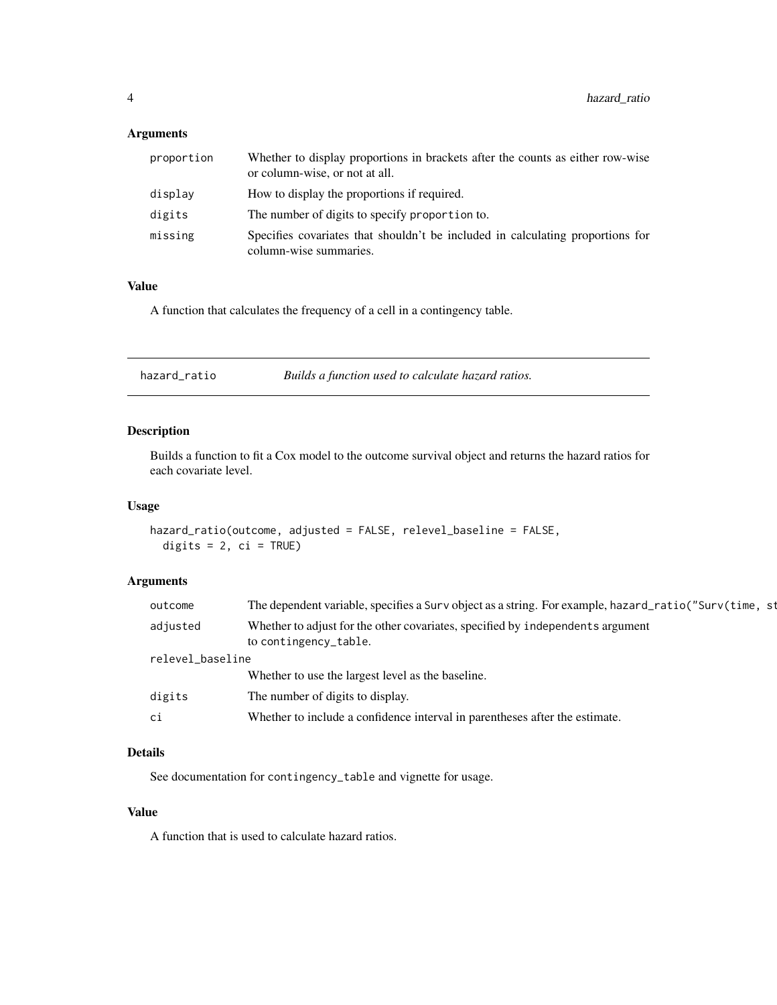## <span id="page-3-0"></span>Arguments

| proportion | Whether to display proportions in brackets after the counts as either row-wise<br>or column-wise, or not at all. |
|------------|------------------------------------------------------------------------------------------------------------------|
| display    | How to display the proportions if required.                                                                      |
| digits     | The number of digits to specify proportion to.                                                                   |
| missing    | Specifies covariates that shouldn't be included in calculating proportions for<br>column-wise summaries.         |

## Value

A function that calculates the frequency of a cell in a contingency table.

| hazard_ratio | Builds a function used to calculate hazard ratios. |
|--------------|----------------------------------------------------|
|--------------|----------------------------------------------------|

## Description

Builds a function to fit a Cox model to the outcome survival object and returns the hazard ratios for each covariate level.

## Usage

```
hazard_ratio(outcome, adjusted = FALSE, relevel_baseline = FALSE,
 digits = 2, ci = TRUE)
```
## Arguments

| outcome          | The dependent variable, specifies a Surv object as a string. For example, hazard_ratio("Surv(time, st   |  |
|------------------|---------------------------------------------------------------------------------------------------------|--|
| adjusted         | Whether to adjust for the other covariates, specified by independents argument<br>to contingency_table. |  |
| relevel_baseline |                                                                                                         |  |
|                  | Whether to use the largest level as the baseline.                                                       |  |
| digits           | The number of digits to display.                                                                        |  |
| ci               | Whether to include a confidence interval in parentheses after the estimate.                             |  |
|                  |                                                                                                         |  |

## Details

See documentation for contingency\_table and vignette for usage.

## Value

A function that is used to calculate hazard ratios.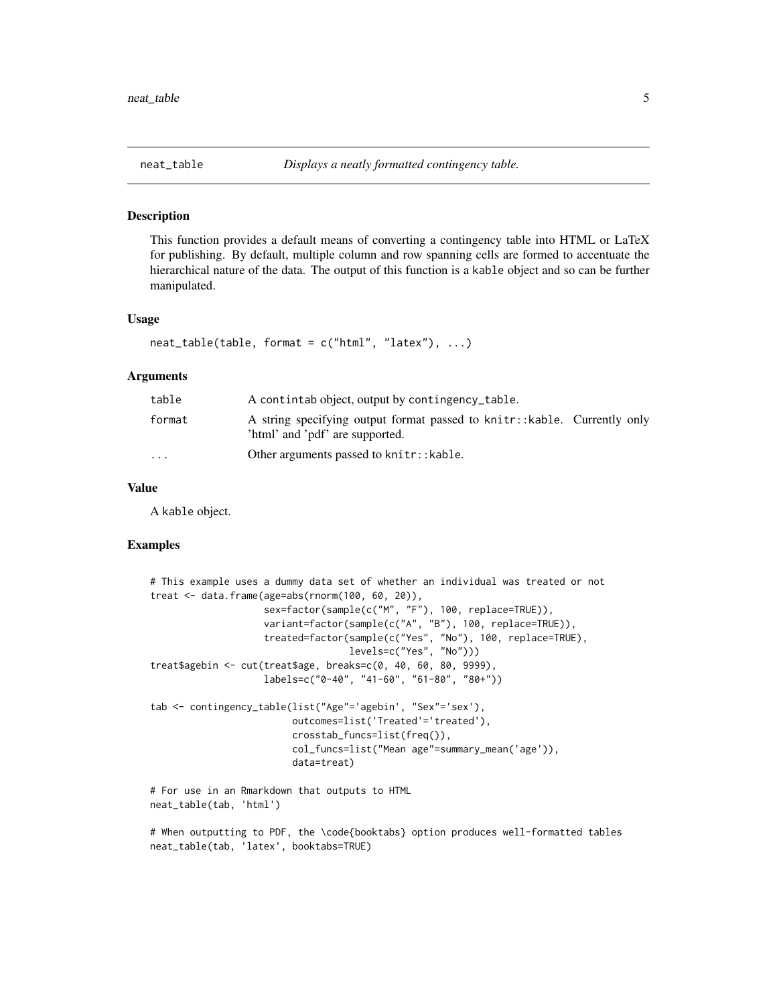<span id="page-4-0"></span>

## Description

This function provides a default means of converting a contingency table into HTML or LaTeX for publishing. By default, multiple column and row spanning cells are formed to accentuate the hierarchical nature of the data. The output of this function is a kable object and so can be further manipulated.

#### Usage

```
neat_table(table, format = c("html", "later"), ...)
```
## Arguments

| table                   | A contintab object, output by contingency_table.                                                             |
|-------------------------|--------------------------------------------------------------------------------------------------------------|
| format                  | A string specifying output format passed to knitr:: kable. Currently only<br>'html' and 'pdf' are supported. |
| $\cdot$ $\cdot$ $\cdot$ | Other arguments passed to knitr:: kable.                                                                     |

## Value

A kable object.

neat\_table(tab, 'latex', booktabs=TRUE)

## Examples

```
# This example uses a dummy data set of whether an individual was treated or not
treat <- data.frame(age=abs(rnorm(100, 60, 20)),
                    sex=factor(sample(c("M", "F"), 100, replace=TRUE)),
                    variant=factor(sample(c("A", "B"), 100, replace=TRUE)),
                    treated=factor(sample(c("Yes", "No"), 100, replace=TRUE),
                                   levels=c("Yes", "No")))
treat$agebin <- cut(treat$age, breaks=c(0, 40, 60, 80, 9999),
                    labels=c("0-40", "41-60", "61-80", "80+"))
tab <- contingency_table(list("Age"='agebin', "Sex"='sex'),
                         outcomes=list('Treated'='treated'),
                         crosstab_funcs=list(freq()),
                         col_funcs=list("Mean age"=summary_mean('age')),
                         data=treat)
# For use in an Rmarkdown that outputs to HTML
neat_table(tab, 'html')
# When outputting to PDF, the \code{booktabs} option produces well-formatted tables
```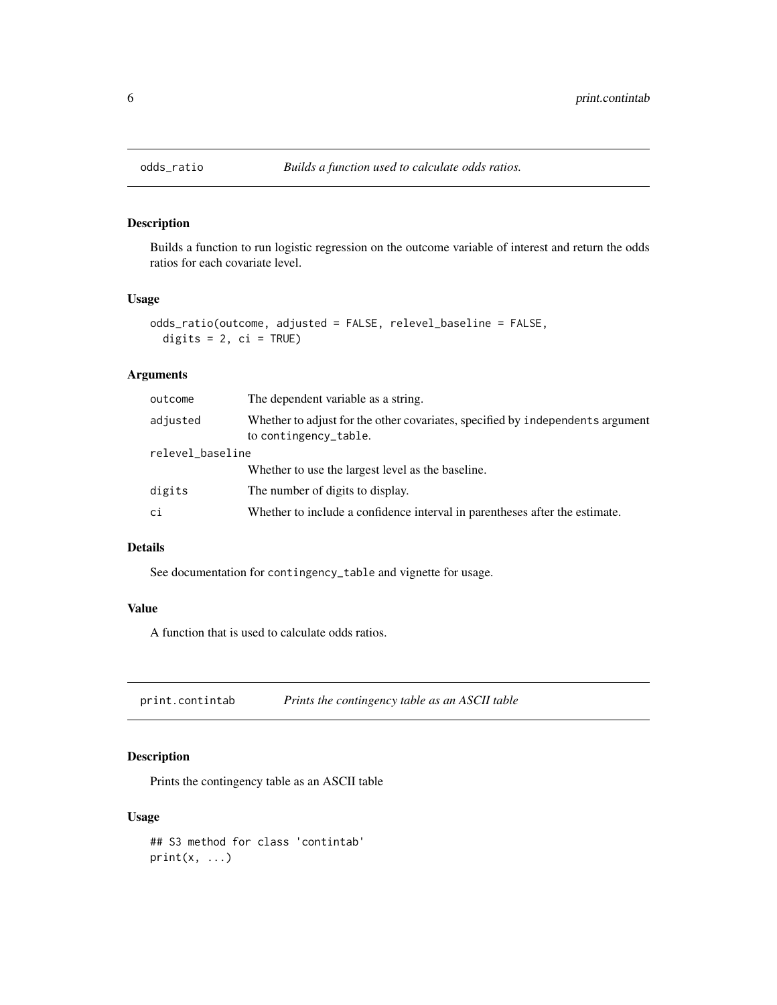<span id="page-5-0"></span>

## Description

Builds a function to run logistic regression on the outcome variable of interest and return the odds ratios for each covariate level.

## Usage

```
odds_ratio(outcome, adjusted = FALSE, relevel_baseline = FALSE,
 digits = 2, ci = TRUE)
```
## Arguments

| outcome          | The dependent variable as a string.                                                                     |  |
|------------------|---------------------------------------------------------------------------------------------------------|--|
| adjusted         | Whether to adjust for the other covariates, specified by independents argument<br>to contingency_table. |  |
| relevel_baseline |                                                                                                         |  |
|                  | Whether to use the largest level as the baseline.                                                       |  |
| digits           | The number of digits to display.                                                                        |  |
| ci               | Whether to include a confidence interval in parentheses after the estimate.                             |  |

## Details

See documentation for contingency\_table and vignette for usage.

## Value

A function that is used to calculate odds ratios.

print.contintab *Prints the contingency table as an ASCII table*

## Description

Prints the contingency table as an ASCII table

## Usage

## S3 method for class 'contintab'  $print(x, \ldots)$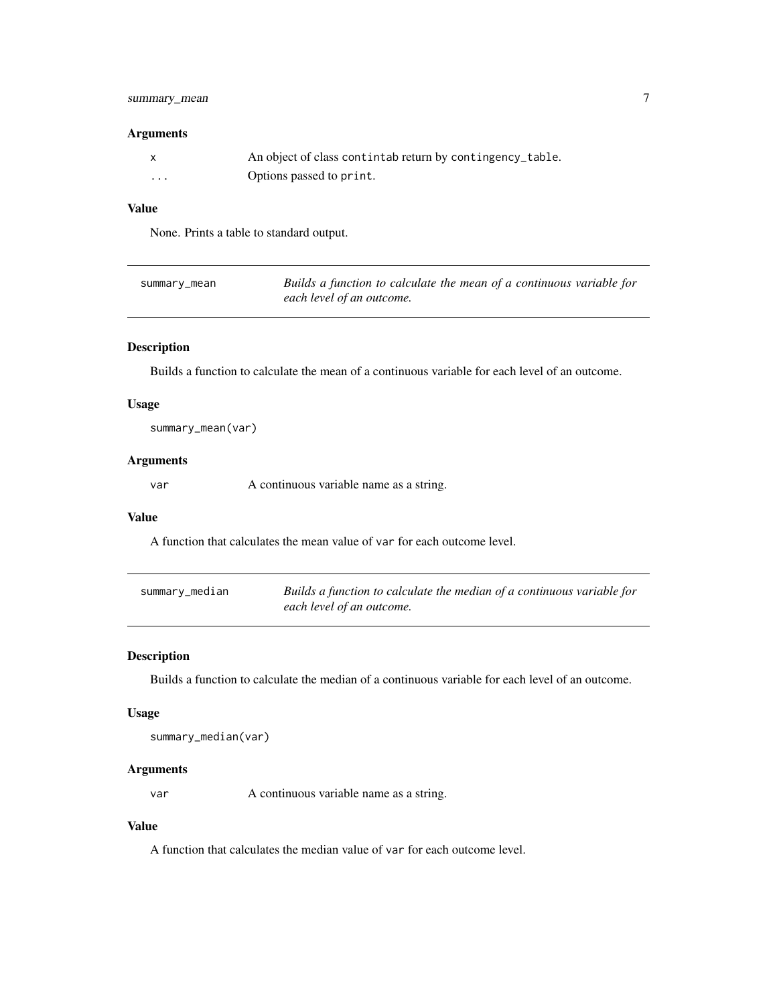## <span id="page-6-0"></span>summary\_mean 7

## Arguments

|         | An object of class contintab return by contingency_table. |
|---------|-----------------------------------------------------------|
| $\cdot$ | Options passed to print.                                  |

## Value

None. Prints a table to standard output.

| summary_mean | Builds a function to calculate the mean of a continuous variable for |
|--------------|----------------------------------------------------------------------|
|              | each level of an outcome.                                            |

## Description

Builds a function to calculate the mean of a continuous variable for each level of an outcome.

## Usage

summary\_mean(var)

## Arguments

var A continuous variable name as a string.

## Value

A function that calculates the mean value of var for each outcome level.

| summary_median | Builds a function to calculate the median of a continuous variable for |
|----------------|------------------------------------------------------------------------|
|                | each level of an outcome.                                              |

## Description

Builds a function to calculate the median of a continuous variable for each level of an outcome.

## Usage

```
summary_median(var)
```
#### Arguments

var A continuous variable name as a string.

## Value

A function that calculates the median value of var for each outcome level.